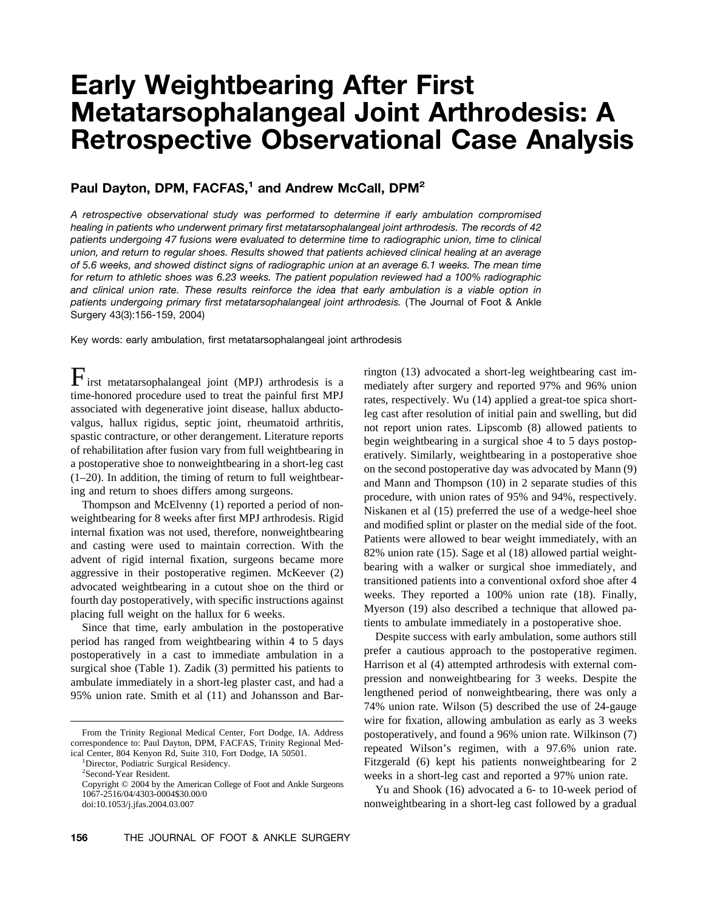# **Early Weightbearing After First Metatarsophalangeal Joint Arthrodesis: A Retrospective Observational Case Analysis**

## **Paul Dayton, DPM, FACFAS,<sup>1</sup> and Andrew McCall, DPM<sup>2</sup>**

*A retrospective observational study was performed to determine if early ambulation compromised healing in patients who underwent primary first metatarsophalangeal joint arthrodesis. The records of 42 patients undergoing 47 fusions were evaluated to determine time to radiographic union, time to clinical union, and return to regular shoes. Results showed that patients achieved clinical healing at an average of 5.6 weeks, and showed distinct signs of radiographic union at an average 6.1 weeks. The mean time for return to athletic shoes was 6.23 weeks. The patient population reviewed had a 100% radiographic and clinical union rate. These results reinforce the idea that early ambulation is a viable option in patients undergoing primary first metatarsophalangeal joint arthrodesis.* (The Journal of Foot & Ankle Surgery 43(3):156-159, 2004)

Key words: early ambulation, first metatarsophalangeal joint arthrodesis

 $\Gamma$ irst metatarsophalangeal joint (MPJ) arthrodesis is a time-honored procedure used to treat the painful first MPJ associated with degenerative joint disease, hallux abductovalgus, hallux rigidus, septic joint, rheumatoid arthritis, spastic contracture, or other derangement. Literature reports of rehabilitation after fusion vary from full weightbearing in a postoperative shoe to nonweightbearing in a short-leg cast (1–20). In addition, the timing of return to full weightbearing and return to shoes differs among surgeons.

Thompson and McElvenny (1) reported a period of nonweightbearing for 8 weeks after first MPJ arthrodesis. Rigid internal fixation was not used, therefore, nonweightbearing and casting were used to maintain correction. With the advent of rigid internal fixation, surgeons became more aggressive in their postoperative regimen. McKeever (2) advocated weightbearing in a cutout shoe on the third or fourth day postoperatively, with specific instructions against placing full weight on the hallux for 6 weeks.

Since that time, early ambulation in the postoperative period has ranged from weightbearing within 4 to 5 days postoperatively in a cast to immediate ambulation in a surgical shoe (Table 1). Zadik (3) permitted his patients to ambulate immediately in a short-leg plaster cast, and had a 95% union rate. Smith et al (11) and Johansson and Bar-

rington (13) advocated a short-leg weightbearing cast immediately after surgery and reported 97% and 96% union rates, respectively. Wu (14) applied a great-toe spica shortleg cast after resolution of initial pain and swelling, but did not report union rates. Lipscomb (8) allowed patients to begin weightbearing in a surgical shoe 4 to 5 days postoperatively. Similarly, weightbearing in a postoperative shoe on the second postoperative day was advocated by Mann (9) and Mann and Thompson (10) in 2 separate studies of this procedure, with union rates of 95% and 94%, respectively. Niskanen et al (15) preferred the use of a wedge-heel shoe and modified splint or plaster on the medial side of the foot. Patients were allowed to bear weight immediately, with an 82% union rate (15). Sage et al (18) allowed partial weightbearing with a walker or surgical shoe immediately, and transitioned patients into a conventional oxford shoe after 4 weeks. They reported a 100% union rate (18). Finally, Myerson (19) also described a technique that allowed patients to ambulate immediately in a postoperative shoe.

Despite success with early ambulation, some authors still prefer a cautious approach to the postoperative regimen. Harrison et al (4) attempted arthrodesis with external compression and nonweightbearing for 3 weeks. Despite the lengthened period of nonweightbearing, there was only a 74% union rate. Wilson (5) described the use of 24-gauge wire for fixation, allowing ambulation as early as 3 weeks postoperatively, and found a 96% union rate. Wilkinson (7) repeated Wilson's regimen, with a 97.6% union rate. Fitzgerald (6) kept his patients nonweightbearing for 2 weeks in a short-leg cast and reported a 97% union rate.

Yu and Shook (16) advocated a 6- to 10-week period of nonweightbearing in a short-leg cast followed by a gradual

From the Trinity Regional Medical Center, Fort Dodge, IA. Address correspondence to: Paul Dayton, DPM, FACFAS, Trinity Regional Medical Center, 804 Kenyon Rd, Suite 310, Fort Dodge, IA 50501.

Director, Podiatric Surgical Residency.

<sup>2</sup> Second-Year Resident.

Copyright © 2004 by the American College of Foot and Ankle Surgeons 1067-2516/04/4303-0004\$30.00/0

doi:10.1053/j.jfas.2004.03.007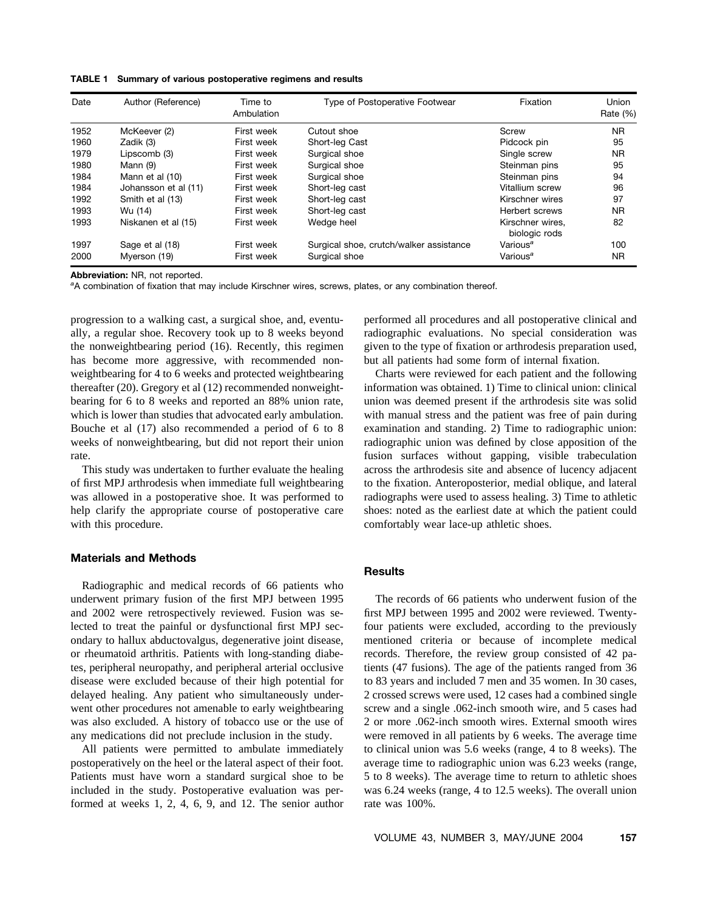#### **TABLE 1 Summary of various postoperative regimens and results**

| Date | Author (Reference)   | Time to<br>Ambulation | Type of Postoperative Footwear          | Fixation                          | <b>Union</b><br>Rate $(\%)$ |
|------|----------------------|-----------------------|-----------------------------------------|-----------------------------------|-----------------------------|
| 1952 | McKeever (2)         | First week            | Cutout shoe                             | Screw                             | <b>NR</b>                   |
| 1960 | Zadik (3)            | First week            | Short-leg Cast                          | Pidcock pin                       | 95                          |
| 1979 | Lipscomb (3)         | First week            | Surgical shoe                           | Single screw                      | <b>NR</b>                   |
| 1980 | Mann (9)             | First week            | Surgical shoe                           | Steinman pins                     | 95                          |
| 1984 | Mann et al (10)      | First week            | Surgical shoe                           | Steinman pins                     | 94                          |
| 1984 | Johansson et al (11) | First week            | Short-leg cast                          | Vitallium screw                   | 96                          |
| 1992 | Smith et al (13)     | First week            | Short-leg cast                          | Kirschner wires                   | 97                          |
| 1993 | Wu (14)              | First week            | Short-leg cast                          | Herbert screws                    | <b>NR</b>                   |
| 1993 | Niskanen et al (15)  | First week            | Wedge heel                              | Kirschner wires.<br>biologic rods | 82                          |
| 1997 | Sage et al (18)      | First week            | Surgical shoe, crutch/walker assistance | Various <sup>a</sup>              | 100                         |
| 2000 | Myerson (19)         | First week            | Surgical shoe                           | Various <sup>a</sup>              | ΝR                          |

**Abbreviation:** NR, not reported.

*a* A combination of fixation that may include Kirschner wires, screws, plates, or any combination thereof.

progression to a walking cast, a surgical shoe, and, eventually, a regular shoe. Recovery took up to 8 weeks beyond the nonweightbearing period (16). Recently, this regimen has become more aggressive, with recommended nonweightbearing for 4 to 6 weeks and protected weightbearing thereafter (20). Gregory et al (12) recommended nonweightbearing for 6 to 8 weeks and reported an 88% union rate, which is lower than studies that advocated early ambulation. Bouche et al (17) also recommended a period of 6 to 8 weeks of nonweightbearing, but did not report their union rate.

This study was undertaken to further evaluate the healing of first MPJ arthrodesis when immediate full weightbearing was allowed in a postoperative shoe. It was performed to help clarify the appropriate course of postoperative care with this procedure.

## **Materials and Methods**

Radiographic and medical records of 66 patients who underwent primary fusion of the first MPJ between 1995 and 2002 were retrospectively reviewed. Fusion was selected to treat the painful or dysfunctional first MPJ secondary to hallux abductovalgus, degenerative joint disease, or rheumatoid arthritis. Patients with long-standing diabetes, peripheral neuropathy, and peripheral arterial occlusive disease were excluded because of their high potential for delayed healing. Any patient who simultaneously underwent other procedures not amenable to early weightbearing was also excluded. A history of tobacco use or the use of any medications did not preclude inclusion in the study.

All patients were permitted to ambulate immediately postoperatively on the heel or the lateral aspect of their foot. Patients must have worn a standard surgical shoe to be included in the study. Postoperative evaluation was performed at weeks 1, 2, 4, 6, 9, and 12. The senior author performed all procedures and all postoperative clinical and radiographic evaluations. No special consideration was given to the type of fixation or arthrodesis preparation used, but all patients had some form of internal fixation.

Charts were reviewed for each patient and the following information was obtained. 1) Time to clinical union: clinical union was deemed present if the arthrodesis site was solid with manual stress and the patient was free of pain during examination and standing. 2) Time to radiographic union: radiographic union was defined by close apposition of the fusion surfaces without gapping, visible trabeculation across the arthrodesis site and absence of lucency adjacent to the fixation. Anteroposterior, medial oblique, and lateral radiographs were used to assess healing. 3) Time to athletic shoes: noted as the earliest date at which the patient could comfortably wear lace-up athletic shoes.

## **Results**

The records of 66 patients who underwent fusion of the first MPJ between 1995 and 2002 were reviewed. Twentyfour patients were excluded, according to the previously mentioned criteria or because of incomplete medical records. Therefore, the review group consisted of 42 patients (47 fusions). The age of the patients ranged from 36 to 83 years and included 7 men and 35 women. In 30 cases, 2 crossed screws were used, 12 cases had a combined single screw and a single .062-inch smooth wire, and 5 cases had 2 or more .062-inch smooth wires. External smooth wires were removed in all patients by 6 weeks. The average time to clinical union was 5.6 weeks (range, 4 to 8 weeks). The average time to radiographic union was 6.23 weeks (range, 5 to 8 weeks). The average time to return to athletic shoes was 6.24 weeks (range, 4 to 12.5 weeks). The overall union rate was 100%.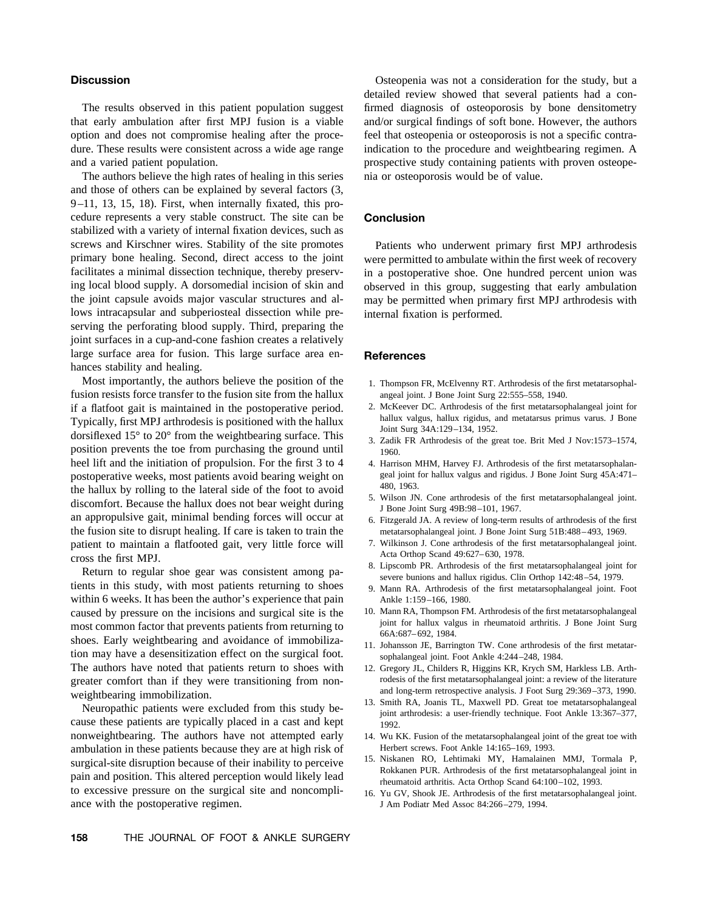## **Discussion**

The results observed in this patient population suggest that early ambulation after first MPJ fusion is a viable option and does not compromise healing after the procedure. These results were consistent across a wide age range and a varied patient population.

The authors believe the high rates of healing in this series and those of others can be explained by several factors (3, 9–11, 13, 15, 18). First, when internally fixated, this procedure represents a very stable construct. The site can be stabilized with a variety of internal fixation devices, such as screws and Kirschner wires. Stability of the site promotes primary bone healing. Second, direct access to the joint facilitates a minimal dissection technique, thereby preserving local blood supply. A dorsomedial incision of skin and the joint capsule avoids major vascular structures and allows intracapsular and subperiosteal dissection while preserving the perforating blood supply. Third, preparing the joint surfaces in a cup-and-cone fashion creates a relatively large surface area for fusion. This large surface area enhances stability and healing.

Most importantly, the authors believe the position of the fusion resists force transfer to the fusion site from the hallux if a flatfoot gait is maintained in the postoperative period. Typically, first MPJ arthrodesis is positioned with the hallux dorsiflexed 15° to 20° from the weightbearing surface. This position prevents the toe from purchasing the ground until heel lift and the initiation of propulsion. For the first 3 to 4 postoperative weeks, most patients avoid bearing weight on the hallux by rolling to the lateral side of the foot to avoid discomfort. Because the hallux does not bear weight during an appropulsive gait, minimal bending forces will occur at the fusion site to disrupt healing. If care is taken to train the patient to maintain a flatfooted gait, very little force will cross the first MPJ.

Return to regular shoe gear was consistent among patients in this study, with most patients returning to shoes within 6 weeks. It has been the author's experience that pain caused by pressure on the incisions and surgical site is the most common factor that prevents patients from returning to shoes. Early weightbearing and avoidance of immobilization may have a desensitization effect on the surgical foot. The authors have noted that patients return to shoes with greater comfort than if they were transitioning from nonweightbearing immobilization.

Neuropathic patients were excluded from this study because these patients are typically placed in a cast and kept nonweightbearing. The authors have not attempted early ambulation in these patients because they are at high risk of surgical-site disruption because of their inability to perceive pain and position. This altered perception would likely lead to excessive pressure on the surgical site and noncompliance with the postoperative regimen.

Osteopenia was not a consideration for the study, but a detailed review showed that several patients had a confirmed diagnosis of osteoporosis by bone densitometry and/or surgical findings of soft bone. However, the authors feel that osteopenia or osteoporosis is not a specific contraindication to the procedure and weightbearing regimen. A prospective study containing patients with proven osteopenia or osteoporosis would be of value.

## **Conclusion**

Patients who underwent primary first MPJ arthrodesis were permitted to ambulate within the first week of recovery in a postoperative shoe. One hundred percent union was observed in this group, suggesting that early ambulation may be permitted when primary first MPJ arthrodesis with internal fixation is performed.

## **References**

- 1. Thompson FR, McElvenny RT. Arthrodesis of the first metatarsophalangeal joint. J Bone Joint Surg 22:555–558, 1940.
- 2. McKeever DC. Arthrodesis of the first metatarsophalangeal joint for hallux valgus, hallux rigidus, and metatarsus primus varus. J Bone Joint Surg 34A:129–134, 1952.
- 3. Zadik FR Arthrodesis of the great toe. Brit Med J Nov:1573–1574, 1960.
- 4. Harrison MHM, Harvey FJ. Arthrodesis of the first metatarsophalangeal joint for hallux valgus and rigidus. J Bone Joint Surg 45A:471– 480, 1963.
- 5. Wilson JN. Cone arthrodesis of the first metatarsophalangeal joint. J Bone Joint Surg 49B:98–101, 1967.
- 6. Fitzgerald JA. A review of long-term results of arthrodesis of the first metatarsophalangeal joint. J Bone Joint Surg 51B:488–493, 1969.
- 7. Wilkinson J. Cone arthrodesis of the first metatarsophalangeal joint. Acta Orthop Scand 49:627–630, 1978.
- 8. Lipscomb PR. Arthrodesis of the first metatarsophalangeal joint for severe bunions and hallux rigidus. Clin Orthop 142:48–54, 1979.
- 9. Mann RA. Arthrodesis of the first metatarsophalangeal joint. Foot Ankle 1:159–166, 1980.
- 10. Mann RA, Thompson FM. Arthrodesis of the first metatarsophalangeal joint for hallux valgus in rheumatoid arthritis. J Bone Joint Surg 66A:687–692, 1984.
- 11. Johansson JE, Barrington TW. Cone arthrodesis of the first metatarsophalangeal joint. Foot Ankle 4:244–248, 1984.
- 12. Gregory JL, Childers R, Higgins KR, Krych SM, Harkless LB. Arthrodesis of the first metatarsophalangeal joint: a review of the literature and long-term retrospective analysis. J Foot Surg 29:369–373, 1990.
- 13. Smith RA, Joanis TL, Maxwell PD. Great toe metatarsophalangeal joint arthrodesis: a user-friendly technique. Foot Ankle 13:367–377, 1992.
- 14. Wu KK. Fusion of the metatarsophalangeal joint of the great toe with Herbert screws. Foot Ankle 14:165–169, 1993.
- 15. Niskanen RO, Lehtimaki MY, Hamalainen MMJ, Tormala P, Rokkanen PUR. Arthrodesis of the first metatarsophalangeal joint in rheumatoid arthritis. Acta Orthop Scand 64:100–102, 1993.
- 16. Yu GV, Shook JE. Arthrodesis of the first metatarsophalangeal joint. J Am Podiatr Med Assoc 84:266–279, 1994.